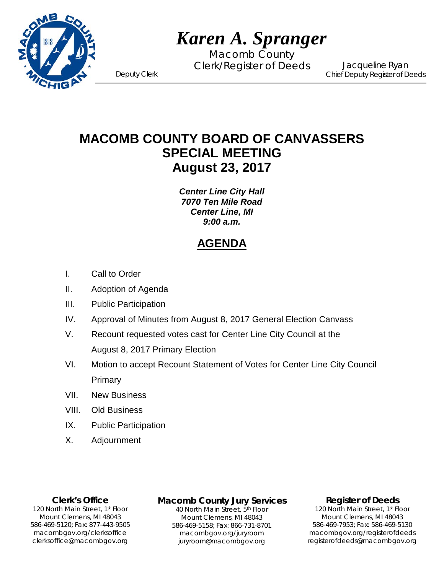

# *Karen A. Spranger*

Macomb County Clerk/Register of Deeds Deputy Clerk

Jacqueline Ryan Chief Deputy Register of Deeds

**MACOMB COUNTY BOARD OF CANVASSERS SPECIAL MEETING August 23, 2017**

> *Center Line City Hall 7070 Ten Mile Road Center Line, MI 9:00 a.m.*

## **AGENDA**

- I. Call to Order
- II. Adoption of Agenda
- III. Public Participation
- IV. Approval of Minutes from August 8, 2017 General Election Canvass
- V. Recount requested votes cast for Center Line City Council at the August 8, 2017 Primary Election
- VI. Motion to accept Recount Statement of Votes for Center Line City Council Primary
- VII. New Business
- VIII. Old Business
- IX. Public Participation
- X. Adjournment

**Clerk's Office**

clerksoffice@macombgov.org 120 North Main Street, 1<sup>st</sup> Floor Mount Clemens, MI 48043 586-469-5120; Fax: 877-443-9505 macombgov.org/clerksoffice

## **Macomb County Jury Services**

40 North Main Street, 5th Floor Mount Clemens, MI 48043 586-469-5158; Fax: 866-731-8701 macombgov.org/juryroom juryroom@macombgov.org

#### **Register of Deeds**

120 North Main Street, 1st Floor Mount Clemens, MI 48043 586-469-7953; Fax: 586-469-5130 macombgov.org/registerofdeeds registerofdeeds@macombgov.org